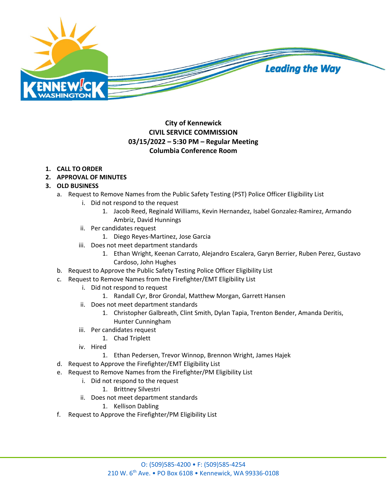

## **City of Kennewick CIVIL SERVICE COMMISSION 03/15/2022 – 5:30 PM – Regular Meeting Columbia Conference Room**

## **1. CALL TO ORDER**

**2. APPROVAL OF MINUTES**

## **3. OLD BUSINESS**

- a. Request to Remove Names from the Public Safety Testing (PST) Police Officer Eligibility List
	- i. Did not respond to the request
		- 1. Jacob Reed, Reginald Williams, Kevin Hernandez, Isabel Gonzalez-Ramirez, Armando Ambriz, David Hunnings
	- ii. Per candidates request
		- 1. Diego Reyes-Martinez, Jose Garcia
	- iii. Does not meet department standards
		- 1. Ethan Wright, Keenan Carrato, Alejandro Escalera, Garyn Berrier, Ruben Perez, Gustavo Cardoso, John Hughes
- b. Request to Approve the Public Safety Testing Police Officer Eligibility List
- c. Request to Remove Names from the Firefighter/EMT Eligibility List
	- i. Did not respond to request
		- 1. Randall Cyr, Bror Grondal, Matthew Morgan, Garrett Hansen
	- ii. Does not meet department standards
		- 1. Christopher Galbreath, Clint Smith, Dylan Tapia, Trenton Bender, Amanda Deritis, Hunter Cunningham
	- iii. Per candidates request
		- 1. Chad Triplett
	- iv. Hired
		- 1. Ethan Pedersen, Trevor Winnop, Brennon Wright, James Hajek
- d. Request to Approve the Firefighter/EMT Eligibility List
- e. Request to Remove Names from the Firefighter/PM Eligibility List
	- i. Did not respond to the request
		- 1. Brittney Silvestri
	- ii. Does not meet department standards
		- 1. Kellison Dabling
- f. Request to Approve the Firefighter/PM Eligibility List